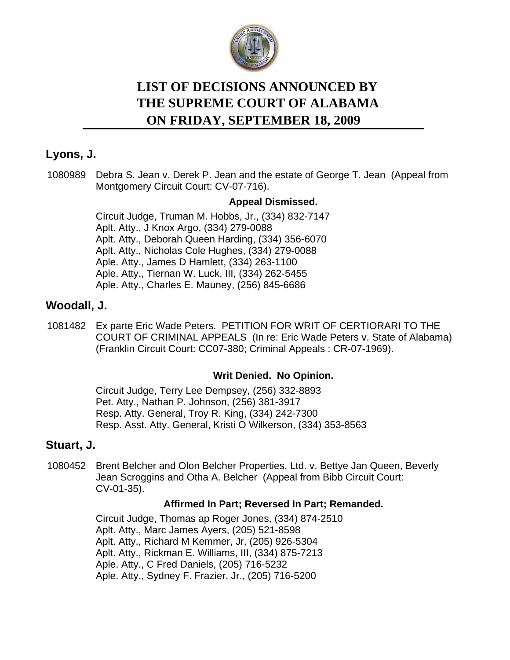

# **LIST OF DECISIONS ANNOUNCED BY ON FRIDAY, SEPTEMBER 18, 2009 THE SUPREME COURT OF ALABAMA**

## **Lyons, J.**

[1080989](https://efile.judicial.state.al.us/displaydocs.cfm?no=181554&event=2R00TT9OI) Debra S. Jean v. Derek P. Jean and the estate of George T. Jean (Appeal from Montgomery Circuit Court: CV-07-716).

## **[Appeal Dismissed.](https://efile.judicial.state.al.us/displaydocs.cfm?no=181554&event=2R00TT9OI)**

Circuit Judge, Truman M. Hobbs, Jr., (334) 832-7147 Aplt. Atty., J Knox Argo, (334) 279-0088 Aplt. Atty., Deborah Queen Harding, (334) 356-6070 Aplt. Atty., Nicholas Cole Hughes, (334) 279-0088 Aple. Atty., James D Hamlett, (334) 263-1100 Aple. Atty., Tiernan W. Luck, III, (334) 262-5455 Aple. Atty., Charles E. Mauney, (256) 845-6686

## **Woodall, J.**

[1081482](https://efile.judicial.state.al.us/displaydocs.cfm?no=181528&event=2R00STMXK) Ex parte Eric Wade Peters. PETITION FOR WRIT OF CERTIORARI TO THE COURT OF CRIMINAL APPEALS (In re: Eric Wade Peters v. State of Alabama) (Franklin Circuit Court: CC07-380; Criminal Appeals : CR-07-1969).

#### **[Writ Denied. No Opinion.](https://efile.judicial.state.al.us/displaydocs.cfm?no=181528&event=2R00STMXK)**

Circuit Judge, Terry Lee Dempsey, (256) 332-8893 Pet. Atty., Nathan P. Johnson, (256) 381-3917 Resp. Atty. General, Troy R. King, (334) 242-7300 Resp. Asst. Atty. General, Kristi O Wilkerson, (334) 353-8563

## **Stuart, J.**

[1080452](https://efile.judicial.state.al.us/displaydocs.cfm?no=181551&event=2R00TT9GR) Brent Belcher and Olon Belcher Properties, Ltd. v. Bettye Jan Queen, Beverly Jean Scroggins and Otha A. Belcher (Appeal from Bibb Circuit Court: CV-01-35).

#### **[Affirmed In Part; Reversed In Part; Remanded.](https://efile.judicial.state.al.us/displaydocs.cfm?no=181551&event=2R00TT9GR)**

Circuit Judge, Thomas ap Roger Jones, (334) 874-2510 Aplt. Atty., Marc James Ayers, (205) 521-8598 Aplt. Atty., Richard M Kemmer, Jr, (205) 926-5304 Aplt. Atty., Rickman E. Williams, III, (334) 875-7213 Aple. Atty., C Fred Daniels, (205) 716-5232 Aple. Atty., Sydney F. Frazier, Jr., (205) 716-5200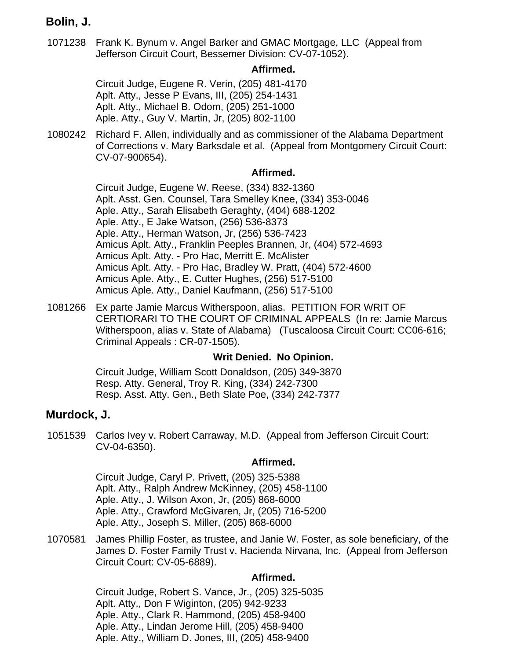## **Bolin, J.**

[1071238](https://efile.judicial.state.al.us/displaydocs.cfm?no=181549&event=2R00TT9BG) Frank K. Bynum v. Angel Barker and GMAC Mortgage, LLC (Appeal from Jefferson Circuit Court, Bessemer Division: CV-07-1052).

#### **[Affirmed.](https://efile.judicial.state.al.us/displaydocs.cfm?no=181549&event=2R00TT9BG)**

Circuit Judge, Eugene R. Verin, (205) 481-4170 Aplt. Atty., Jesse P Evans, III, (205) 254-1431 Aplt. Atty., Michael B. Odom, (205) 251-1000 Aple. Atty., Guy V. Martin, Jr, (205) 802-1100

[1080242](https://efile.judicial.state.al.us/displaydocs.cfm?no=181550&event=2R00TT9E0) Richard F. Allen, individually and as commissioner of the Alabama Department of Corrections v. Mary Barksdale et al. (Appeal from Montgomery Circuit Court: CV-07-900654).

#### **[Affirmed.](https://efile.judicial.state.al.us/displaydocs.cfm?no=181550&event=2R00TT9E0)**

Circuit Judge, Eugene W. Reese, (334) 832-1360 Aplt. Asst. Gen. Counsel, Tara Smelley Knee, (334) 353-0046 Aple. Atty., Sarah Elisabeth Geraghty, (404) 688-1202 Aple. Atty., E Jake Watson, (256) 536-8373 Aple. Atty., Herman Watson, Jr, (256) 536-7423 Amicus Aplt. Atty., Franklin Peeples Brannen, Jr, (404) 572-4693 Amicus Aplt. Atty. - Pro Hac, Merritt E. McAlister Amicus Aplt. Atty. - Pro Hac, Bradley W. Pratt, (404) 572-4600 Amicus Aple. Atty., E. Cutter Hughes, (256) 517-5100 Amicus Aple. Atty., Daniel Kaufmann, (256) 517-5100

[1081266](https://efile.judicial.state.al.us/displaydocs.cfm?no=181529&event=2R00SU3Y4) Ex parte Jamie Marcus Witherspoon, alias. PETITION FOR WRIT OF CERTIORARI TO THE COURT OF CRIMINAL APPEALS (In re: Jamie Marcus Witherspoon, alias v. State of Alabama) (Tuscaloosa Circuit Court: CC06-616; Criminal Appeals : CR-07-1505).

#### **[Writ Denied. No Opinion.](https://efile.judicial.state.al.us/displaydocs.cfm?no=181529&event=2R00SU3Y4)**

Circuit Judge, William Scott Donaldson, (205) 349-3870 Resp. Atty. General, Troy R. King, (334) 242-7300 Resp. Asst. Atty. Gen., Beth Slate Poe, (334) 242-7377

## **Murdock, J.**

[1051539](https://efile.judicial.state.al.us/displaydocs.cfm?no=181545&event=2R00TT8ZW) Carlos Ivey v. Robert Carraway, M.D. (Appeal from Jefferson Circuit Court: CV-04-6350).

#### **[Affirmed.](https://efile.judicial.state.al.us/displaydocs.cfm?no=181545&event=2R00TT8ZW)**

Circuit Judge, Caryl P. Privett, (205) 325-5388 Aplt. Atty., Ralph Andrew McKinney, (205) 458-1100 Aple. Atty., J. Wilson Axon, Jr, (205) 868-6000 Aple. Atty., Crawford McGivaren, Jr, (205) 716-5200 Aple. Atty., Joseph S. Miller, (205) 868-6000

[1070581](https://efile.judicial.state.al.us/displaydocs.cfm?no=181547&event=2R00TT94R) James Phillip Foster, as trustee, and Janie W. Foster, as sole beneficiary, of the James D. Foster Family Trust v. Hacienda Nirvana, Inc. (Appeal from Jefferson Circuit Court: CV-05-6889).

#### **[Affirmed.](https://efile.judicial.state.al.us/displaydocs.cfm?no=181547&event=2R00TT94R)**

Circuit Judge, Robert S. Vance, Jr., (205) 325-5035 Aplt. Atty., Don F Wiginton, (205) 942-9233 Aple. Atty., Clark R. Hammond, (205) 458-9400 Aple. Atty., Lindan Jerome Hill, (205) 458-9400 Aple. Atty., William D. Jones, III, (205) 458-9400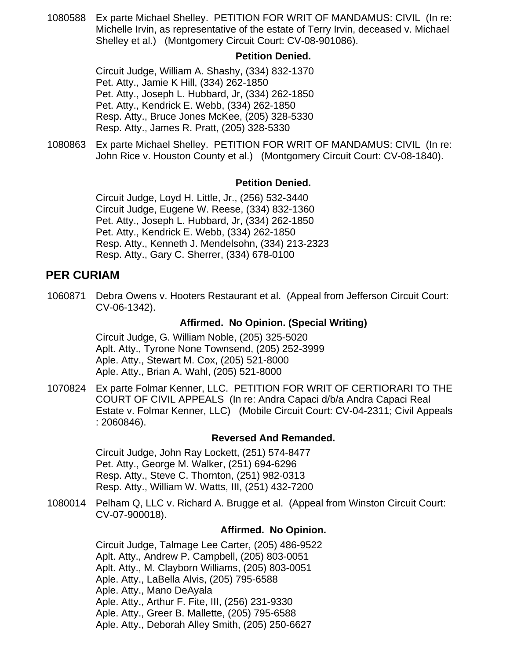[1080588](https://efile.judicial.state.al.us/displaydocs.cfm?no=181553&event=2R00TT9LL) Ex parte Michael Shelley. PETITION FOR WRIT OF MANDAMUS: CIVIL (In re: Michelle Irvin, as representative of the estate of Terry Irvin, deceased v. Michael Shelley et al.) (Montgomery Circuit Court: CV-08-901086).

#### **[Petition Denied.](https://efile.judicial.state.al.us/displaydocs.cfm?no=181553&event=2R00TT9LL)**

Circuit Judge, William A. Shashy, (334) 832-1370 Pet. Atty., Jamie K Hill, (334) 262-1850 Pet. Atty., Joseph L. Hubbard, Jr, (334) 262-1850 Pet. Atty., Kendrick E. Webb, (334) 262-1850 Resp. Atty., Bruce Jones McKee, (205) 328-5330 Resp. Atty., James R. Pratt, (205) 328-5330

[1080863](https://efile.judicial.state.al.us/displaydocs.cfm?no=181553&event=2R00TT9LL) Ex parte Michael Shelley. PETITION FOR WRIT OF MANDAMUS: CIVIL (In re: John Rice v. Houston County et al.) (Montgomery Circuit Court: CV-08-1840).

#### **[Petition Denied.](https://efile.judicial.state.al.us/displaydocs.cfm?no=181553&event=2R00TT9LL)**

Circuit Judge, Loyd H. Little, Jr., (256) 532-3440 Circuit Judge, Eugene W. Reese, (334) 832-1360 Pet. Atty., Joseph L. Hubbard, Jr, (334) 262-1850 Pet. Atty., Kendrick E. Webb, (334) 262-1850 Resp. Atty., Kenneth J. Mendelsohn, (334) 213-2323 Resp. Atty., Gary C. Sherrer, (334) 678-0100

## **PER CURIAM**

[1060871](https://efile.judicial.state.al.us/displaydocs.cfm?no=181546&event=2R00TT92M) Debra Owens v. Hooters Restaurant et al. (Appeal from Jefferson Circuit Court: CV-06-1342).

### **[Affirmed. No Opinion. \(Special Writing\)](https://efile.judicial.state.al.us/displaydocs.cfm?no=181546&event=2R00TT92M)**

Circuit Judge, G. William Noble, (205) 325-5020 Aplt. Atty., Tyrone None Townsend, (205) 252-3999 Aple. Atty., Stewart M. Cox, (205) 521-8000 Aple. Atty., Brian A. Wahl, (205) 521-8000

[1070824](https://efile.judicial.state.al.us/displaydocs.cfm?no=181548&event=2R00TT975) Ex parte Folmar Kenner, LLC. PETITION FOR WRIT OF CERTIORARI TO THE COURT OF CIVIL APPEALS (In re: Andra Capaci d/b/a Andra Capaci Real Estate v. Folmar Kenner, LLC) (Mobile Circuit Court: CV-04-2311; Civil Appeals : 2060846).

#### **[Reversed And Remanded.](https://efile.judicial.state.al.us/displaydocs.cfm?no=181548&event=2R00TT975)**

Circuit Judge, John Ray Lockett, (251) 574-8477 Pet. Atty., George M. Walker, (251) 694-6296 Resp. Atty., Steve C. Thornton, (251) 982-0313 Resp. Atty., William W. Watts, III, (251) 432-7200

1080014 Pelham Q, LLC v. Richard A. Brugge et al. (Appeal from Winston Circuit Court: CV-07-900018).

#### **Affirmed. No Opinion.**

Circuit Judge, Talmage Lee Carter, (205) 486-9522 Aplt. Atty., Andrew P. Campbell, (205) 803-0051 Aplt. Atty., M. Clayborn Williams, (205) 803-0051 Aple. Atty., LaBella Alvis, (205) 795-6588 Aple. Atty., Mano DeAyala Aple. Atty., Arthur F. Fite, III, (256) 231-9330 Aple. Atty., Greer B. Mallette, (205) 795-6588 Aple. Atty., Deborah Alley Smith, (205) 250-6627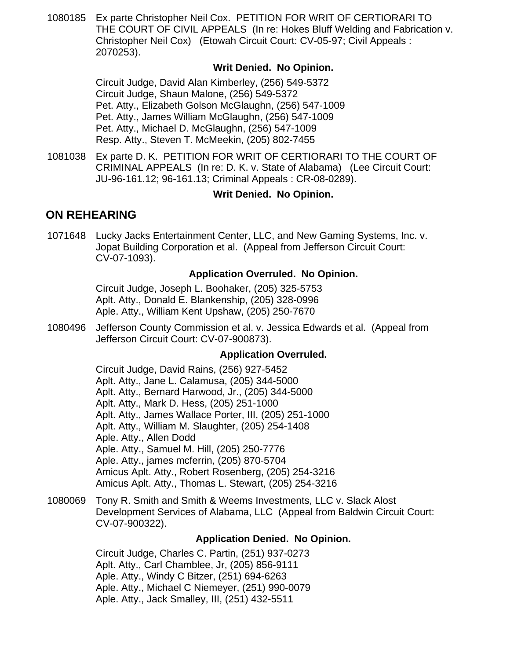[1080185](https://efile.judicial.state.al.us/displaydocs.cfm?no=181530&event=2R00SUOMS) Ex parte Christopher Neil Cox. PETITION FOR WRIT OF CERTIORARI TO THE COURT OF CIVIL APPEALS (In re: Hokes Bluff Welding and Fabrication v. Christopher Neil Cox) (Etowah Circuit Court: CV-05-97; Civil Appeals : 2070253).

#### **[Writ Denied. No Opinion.](https://efile.judicial.state.al.us/displaydocs.cfm?no=181530&event=2R00SUOMS)**

Circuit Judge, David Alan Kimberley, (256) 549-5372 Circuit Judge, Shaun Malone, (256) 549-5372 Pet. Atty., Elizabeth Golson McGlaughn, (256) 547-1009 Pet. Atty., James William McGlaughn, (256) 547-1009 Pet. Atty., Michael D. McGlaughn, (256) 547-1009 Resp. Atty., Steven T. McMeekin, (205) 802-7455

[1081038](https://efile.judicial.state.al.us/displaydocs.cfm?no=181531&event=2R00SV7ZY) Ex parte D. K. PETITION FOR WRIT OF CERTIORARI TO THE COURT OF CRIMINAL APPEALS (In re: D. K. v. State of Alabama) (Lee Circuit Court: JU-96-161.12; 96-161.13; Criminal Appeals : CR-08-0289).

#### **[Writ Denied. No Opinion.](https://efile.judicial.state.al.us/displaydocs.cfm?no=181531&event=2R00SV7ZY)**

## **ON REHEARING**

[1071648](https://efile.judicial.state.al.us/displaydocs.cfm?no=181532&event=2R00SXN7P) Lucky Jacks Entertainment Center, LLC, and New Gaming Systems, Inc. v. Jopat Building Corporation et al. (Appeal from Jefferson Circuit Court: CV-07-1093).

#### **[Application Overruled. No Opinion.](https://efile.judicial.state.al.us/displaydocs.cfm?no=181532&event=2R00SXN7P)**

Circuit Judge, Joseph L. Boohaker, (205) 325-5753 Aplt. Atty., Donald E. Blankenship, (205) 328-0996 Aple. Atty., William Kent Upshaw, (205) 250-7670

[1080496](https://efile.judicial.state.al.us/displaydocs.cfm?no=181539&event=2R00TMEAU) Jefferson County Commission et al. v. Jessica Edwards et al. (Appeal from Jefferson Circuit Court: CV-07-900873).

#### **[Application Overruled.](https://efile.judicial.state.al.us/displaydocs.cfm?no=181539&event=2R00TMEAU)**

Circuit Judge, David Rains, (256) 927-5452 Aplt. Atty., Jane L. Calamusa, (205) 344-5000 Aplt. Atty., Bernard Harwood, Jr., (205) 344-5000 Aplt. Atty., Mark D. Hess, (205) 251-1000 Aplt. Atty., James Wallace Porter, III, (205) 251-1000 Aplt. Atty., William M. Slaughter, (205) 254-1408 Aple. Atty., Allen Dodd Aple. Atty., Samuel M. Hill, (205) 250-7776 Aple. Atty., james mcferrin, (205) 870-5704 Amicus Aplt. Atty., Robert Rosenberg, (205) 254-3216 Amicus Aplt. Atty., Thomas L. Stewart, (205) 254-3216

[1080069](https://efile.judicial.state.al.us/displaydocs.cfm?no=181533&event=2R00SZRLA) Tony R. Smith and Smith & Weems Investments, LLC v. Slack Alost Development Services of Alabama, LLC (Appeal from Baldwin Circuit Court: CV-07-900322).

#### **[Application Denied. No Opinion.](https://efile.judicial.state.al.us/displaydocs.cfm?no=181533&event=2R00SZRLA)**

Circuit Judge, Charles C. Partin, (251) 937-0273 Aplt. Atty., Carl Chamblee, Jr, (205) 856-9111 Aple. Atty., Windy C Bitzer, (251) 694-6263 Aple. Atty., Michael C Niemeyer, (251) 990-0079 Aple. Atty., Jack Smalley, III, (251) 432-5511